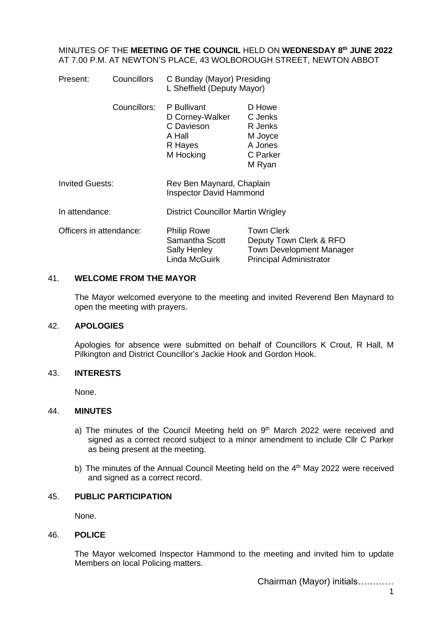### MINUTES OF THE **MEETING OF THE COUNCIL** HELD ON **WEDNESDAY 8 th JUNE 2022** AT 7.00 P.M. AT NEWTON'S PLACE, 43 WOLBOROUGH STREET, NEWTON ABBOT

| Present:                | Councillors  | C Bunday (Mayor) Presiding<br>L Sheffield (Deputy Mayor)                       |                                                                                                            |
|-------------------------|--------------|--------------------------------------------------------------------------------|------------------------------------------------------------------------------------------------------------|
|                         | Councillors: | P Bullivant<br>D Corney-Walker<br>C Davieson<br>A Hall<br>R Hayes<br>M Hocking | D Howe<br>C Jenks<br>R Jenks<br>M Joyce<br>A Jones<br>C Parker<br>M Ryan                                   |
| <b>Invited Guests:</b>  |              | Rev Ben Maynard, Chaplain<br><b>Inspector David Hammond</b>                    |                                                                                                            |
| In attendance:          |              | District Councillor Martin Wrigley                                             |                                                                                                            |
| Officers in attendance: |              | <b>Philip Rowe</b><br>Samantha Scott<br>Sally Henley<br>Linda McGuirk          | <b>Town Clerk</b><br>Deputy Town Clerk & RFO<br>Town Development Manager<br><b>Principal Administrator</b> |

### 41. **WELCOME FROM THE MAYOR**

The Mayor welcomed everyone to the meeting and invited Reverend Ben Maynard to open the meeting with prayers.

### 42. **APOLOGIES**

Apologies for absence were submitted on behalf of Councillors K Crout, R Hall, M Pilkington and District Councillor's Jackie Hook and Gordon Hook.

### 43. **INTERESTS**

None.

# 44. **MINUTES**

- a) The minutes of the Council Meeting held on  $9<sup>th</sup>$  March 2022 were received and signed as a correct record subject to a minor amendment to include Cllr C Parker as being present at the meeting.
- b) The minutes of the Annual Council Meeting held on the 4<sup>th</sup> May 2022 were received and signed as a correct record.

# 45. **PUBLIC PARTICIPATION**

None.

# 46. **POLICE**

The Mayor welcomed Inspector Hammond to the meeting and invited him to update Members on local Policing matters.

Chairman (Mayor) initials…………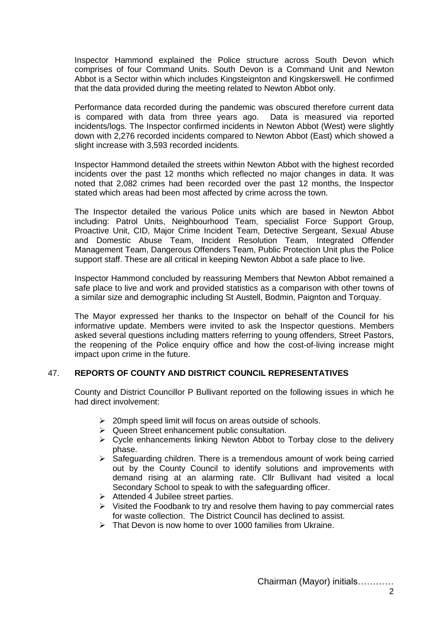Inspector Hammond explained the Police structure across South Devon which comprises of four Command Units. South Devon is a Command Unit and Newton Abbot is a Sector within which includes Kingsteignton and Kingskerswell. He confirmed that the data provided during the meeting related to Newton Abbot only.

Performance data recorded during the pandemic was obscured therefore current data is compared with data from three years ago. Data is measured via reported incidents/logs. The Inspector confirmed incidents in Newton Abbot (West) were slightly down with 2,276 recorded incidents compared to Newton Abbot (East) which showed a slight increase with 3,593 recorded incidents.

Inspector Hammond detailed the streets within Newton Abbot with the highest recorded incidents over the past 12 months which reflected no major changes in data. It was noted that 2,082 crimes had been recorded over the past 12 months, the Inspector stated which areas had been most affected by crime across the town.

The Inspector detailed the various Police units which are based in Newton Abbot including: Patrol Units, Neighbourhood Team, specialist Force Support Group, Proactive Unit, CID, Major Crime Incident Team, Detective Sergeant, Sexual Abuse and Domestic Abuse Team, Incident Resolution Team, Integrated Offender Management Team, Dangerous Offenders Team, Public Protection Unit plus the Police support staff. These are all critical in keeping Newton Abbot a safe place to live.

Inspector Hammond concluded by reassuring Members that Newton Abbot remained a safe place to live and work and provided statistics as a comparison with other towns of a similar size and demographic including St Austell, Bodmin, Paignton and Torquay.

The Mayor expressed her thanks to the Inspector on behalf of the Council for his informative update. Members were invited to ask the Inspector questions. Members asked several questions including matters referring to young offenders, Street Pastors, the reopening of the Police enquiry office and how the cost-of-living increase might impact upon crime in the future.

# 47. **REPORTS OF COUNTY AND DISTRICT COUNCIL REPRESENTATIVES**

County and District Councillor P Bullivant reported on the following issues in which he had direct involvement:

- ➢ 20mph speed limit will focus on areas outside of schools.
- ➢ Queen Street enhancement public consultation.
- ➢ Cycle enhancements linking Newton Abbot to Torbay close to the delivery phase.
- ➢ Safeguarding children. There is a tremendous amount of work being carried out by the County Council to identify solutions and improvements with demand rising at an alarming rate. Cllr Bullivant had visited a local Secondary School to speak to with the safeguarding officer.
- ➢ Attended 4 Jubilee street parties.
- ➢ Visited the Foodbank to try and resolve them having to pay commercial rates for waste collection. The District Council has declined to assist.
- ➢ That Devon is now home to over 1000 families from Ukraine.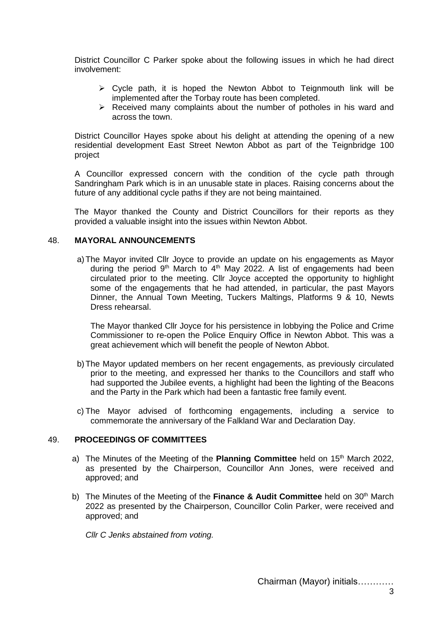District Councillor C Parker spoke about the following issues in which he had direct involvement:

- $\triangleright$  Cycle path, it is hoped the Newton Abbot to Teignmouth link will be implemented after the Torbay route has been completed.
- ➢ Received many complaints about the number of potholes in his ward and across the town.

District Councillor Hayes spoke about his delight at attending the opening of a new residential development East Street Newton Abbot as part of the Teignbridge 100 project

A Councillor expressed concern with the condition of the cycle path through Sandringham Park which is in an unusable state in places. Raising concerns about the future of any additional cycle paths if they are not being maintained.

The Mayor thanked the County and District Councillors for their reports as they provided a valuable insight into the issues within Newton Abbot.

### 48. **MAYORAL ANNOUNCEMENTS**

a)The Mayor invited Cllr Joyce to provide an update on his engagements as Mayor during the period  $9<sup>th</sup>$  March to  $4<sup>th</sup>$  May 2022. A list of engagements had been circulated prior to the meeting. Cllr Joyce accepted the opportunity to highlight some of the engagements that he had attended, in particular, the past Mayors Dinner, the Annual Town Meeting, Tuckers Maltings, Platforms 9 & 10, Newts Dress rehearsal.

The Mayor thanked Cllr Joyce for his persistence in lobbying the Police and Crime Commissioner to re-open the Police Enquiry Office in Newton Abbot. This was a great achievement which will benefit the people of Newton Abbot.

- b)The Mayor updated members on her recent engagements, as previously circulated prior to the meeting, and expressed her thanks to the Councillors and staff who had supported the Jubilee events, a highlight had been the lighting of the Beacons and the Party in the Park which had been a fantastic free family event.
- c) The Mayor advised of forthcoming engagements, including a service to commemorate the anniversary of the Falkland War and Declaration Day.

### 49. **PROCEEDINGS OF COMMITTEES**

- a) The Minutes of the Meeting of the **Planning Committee** held on 15th March 2022, as presented by the Chairperson, Councillor Ann Jones, were received and approved; and
- b) The Minutes of the Meeting of the **Finance & Audit Committee** held on 30th March 2022 as presented by the Chairperson, Councillor Colin Parker, were received and approved; and

*Cllr C Jenks abstained from voting.*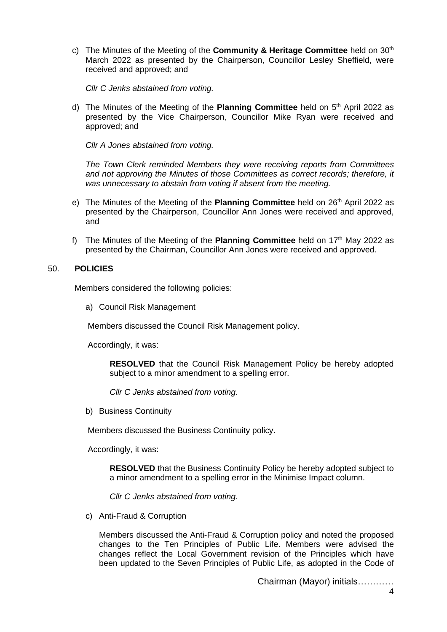c) The Minutes of the Meeting of the **Community & Heritage Committee** held on 30th March 2022 as presented by the Chairperson, Councillor Lesley Sheffield, were received and approved; and

*Cllr C Jenks abstained from voting.*

d) The Minutes of the Meeting of the **Planning Committee** held on 5<sup>th</sup> April 2022 as presented by the Vice Chairperson, Councillor Mike Ryan were received and approved; and

*Cllr A Jones abstained from voting.*

*The Town Clerk reminded Members they were receiving reports from Committees and not approving the Minutes of those Committees as correct records; therefore, it was unnecessary to abstain from voting if absent from the meeting.*

- e) The Minutes of the Meeting of the **Planning Committee** held on 26th April 2022 as presented by the Chairperson, Councillor Ann Jones were received and approved, and
- f) The Minutes of the Meeting of the **Planning Committee** held on 17th May 2022 as presented by the Chairman, Councillor Ann Jones were received and approved.

# 50. **POLICIES**

Members considered the following policies:

a) Council Risk Management

Members discussed the Council Risk Management policy.

Accordingly, it was:

**RESOLVED** that the Council Risk Management Policy be hereby adopted subject to a minor amendment to a spelling error.

*Cllr C Jenks abstained from voting.*

b) Business Continuity

Members discussed the Business Continuity policy.

Accordingly, it was:

**RESOLVED** that the Business Continuity Policy be hereby adopted subject to a minor amendment to a spelling error in the Minimise Impact column.

*Cllr C Jenks abstained from voting.*

c) Anti-Fraud & Corruption

Members discussed the Anti-Fraud & Corruption policy and noted the proposed changes to the Ten Principles of Public Life. Members were advised the changes reflect the Local Government revision of the Principles which have been updated to the Seven Principles of Public Life, as adopted in the Code of

Chairman (Mayor) initials…………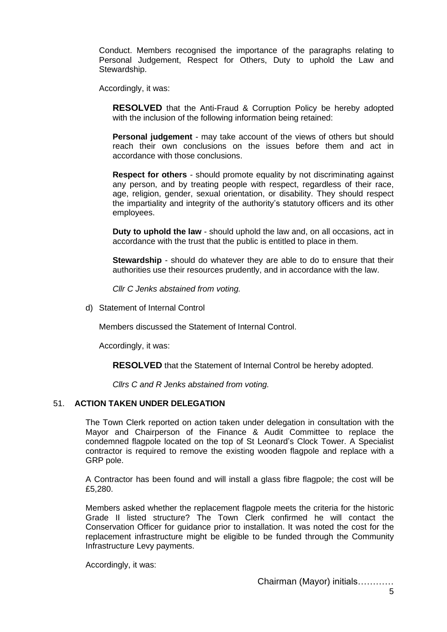Conduct. Members recognised the importance of the paragraphs relating to Personal Judgement, Respect for Others, Duty to uphold the Law and Stewardship.

Accordingly, it was:

**RESOLVED** that the Anti-Fraud & Corruption Policy be hereby adopted with the inclusion of the following information being retained:

**Personal judgement** - may take account of the views of others but should reach their own conclusions on the issues before them and act in accordance with those conclusions.

**Respect for others** *-* should promote equality by not discriminating against any person, and by treating people with respect, regardless of their race, age, religion, gender, sexual orientation, or disability. They should respect the impartiality and integrity of the authority's statutory officers and its other employees.

**Duty to uphold the law** *-* should uphold the law and, on all occasions, act in accordance with the trust that the public is entitled to place in them.

**Stewardship** - should do whatever they are able to do to ensure that their authorities use their resources prudently, and in accordance with the law.

*Cllr C Jenks abstained from voting.*

d) Statement of Internal Control

Members discussed the Statement of Internal Control.

Accordingly, it was:

**RESOLVED** that the Statement of Internal Control be hereby adopted.

*Cllrs C and R Jenks abstained from voting.*

# 51. **ACTION TAKEN UNDER DELEGATION**

The Town Clerk reported on action taken under delegation in consultation with the Mayor and Chairperson of the Finance & Audit Committee to replace the condemned flagpole located on the top of St Leonard's Clock Tower. A Specialist contractor is required to remove the existing wooden flagpole and replace with a GRP pole.

A Contractor has been found and will install a glass fibre flagpole; the cost will be £5,280.

Members asked whether the replacement flagpole meets the criteria for the historic Grade II listed structure? The Town Clerk confirmed he will contact the Conservation Officer for guidance prior to installation. It was noted the cost for the replacement infrastructure might be eligible to be funded through the Community Infrastructure Levy payments.

Accordingly, it was: